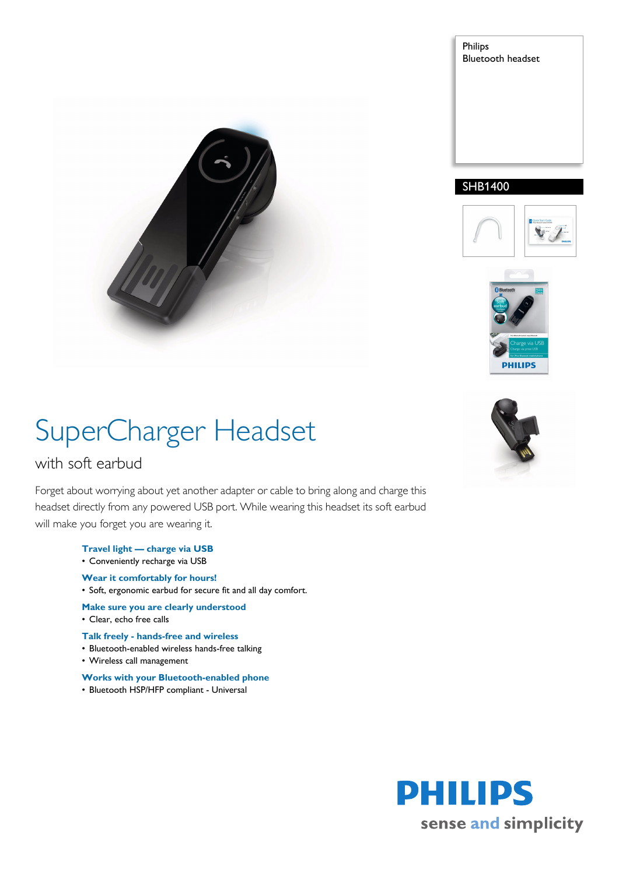



### SHB1400





# SuperCharger Headset

### with soft earbud

Forget about worrying about yet another adapter or cable to bring along and charge this headset directly from any powered USB port. While wearing this headset its soft earbud will make you forget you are wearing it.

- **Travel light charge via USB**
- Conveniently recharge via USB
- **Wear it comfortably for hours!**
- Soft, ergonomic earbud for secure fit and all day comfort.
- **Make sure you are clearly understood**
- Clear, echo free calls
- **Talk freely hands-free and wireless**
- Bluetooth-enabled wireless hands-free talking
- Wireless call management
- **Works with your Bluetooth-enabled phone**
- Bluetooth HSP/HFP compliant Universal